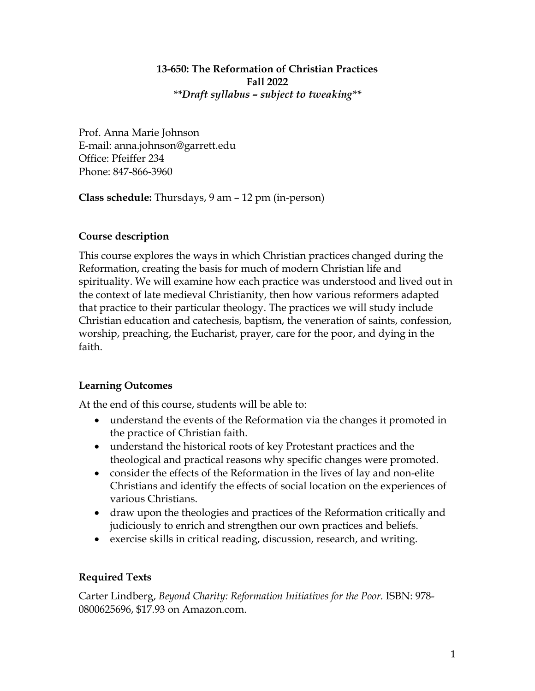## **13-650: The Reformation of Christian Practices Fall 2022** *\*\*Draft syllabus – subject to tweaking\*\**

Prof. Anna Marie Johnson E-mail: anna.johnson@garrett.edu Office: Pfeiffer 234 Phone: 847-866-3960

**Class schedule:** Thursdays, 9 am – 12 pm (in-person)

# **Course description**

This course explores the ways in which Christian practices changed during the Reformation, creating the basis for much of modern Christian life and spirituality. We will examine how each practice was understood and lived out in the context of late medieval Christianity, then how various reformers adapted that practice to their particular theology. The practices we will study include Christian education and catechesis, baptism, the veneration of saints, confession, worship, preaching, the Eucharist, prayer, care for the poor, and dying in the faith.

# **Learning Outcomes**

At the end of this course, students will be able to:

- understand the events of the Reformation via the changes it promoted in the practice of Christian faith.
- understand the historical roots of key Protestant practices and the theological and practical reasons why specific changes were promoted.
- consider the effects of the Reformation in the lives of lay and non-elite Christians and identify the effects of social location on the experiences of various Christians.
- draw upon the theologies and practices of the Reformation critically and judiciously to enrich and strengthen our own practices and beliefs.
- exercise skills in critical reading, discussion, research, and writing.

# **Required Texts**

Carter Lindberg, *Beyond Charity: Reformation Initiatives for the Poor.* ISBN: 978- 0800625696, \$17.93 on Amazon.com.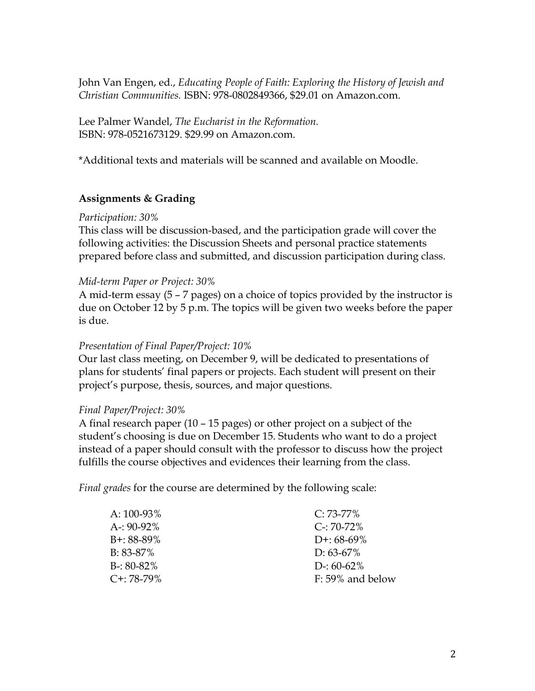John Van Engen, ed., *Educating People of Faith: Exploring the History of Jewish and Christian Communities.* ISBN: 978-0802849366, \$29.01 on Amazon.com.

Lee Palmer Wandel, *The Eucharist in the Reformation.*  ISBN: 978-0521673129. \$29.99 on Amazon.com.

\*Additional texts and materials will be scanned and available on Moodle.

## **Assignments & Grading**

### *Participation: 30%*

This class will be discussion-based, and the participation grade will cover the following activities: the Discussion Sheets and personal practice statements prepared before class and submitted, and discussion participation during class.

### *Mid-term Paper or Project: 30%*

A mid-term essay (5 – 7 pages) on a choice of topics provided by the instructor is due on October 12 by 5 p.m. The topics will be given two weeks before the paper is due.

## *Presentation of Final Paper/Project: 10%*

Our last class meeting, on December 9, will be dedicated to presentations of plans for students' final papers or projects. Each student will present on their project's purpose, thesis, sources, and major questions.

### *Final Paper/Project: 30%*

A final research paper (10 – 15 pages) or other project on a subject of the student's choosing is due on December 15. Students who want to do a project instead of a paper should consult with the professor to discuss how the project fulfills the course objectives and evidences their learning from the class.

*Final grades* for the course are determined by the following scale:

| A: 100-93%    | $C: 73-77\%$        |
|---------------|---------------------|
| A-: 90-92%    | $C - 70 - 72\%$     |
| B+: 88-89%    | $D^{+}$ : 68-69%    |
| B: 83-87%     | $D: 63-67\%$        |
| $B-: 80-82\%$ | D-: $60-62\%$       |
| C+: 78-79%    | $F: 59\%$ and below |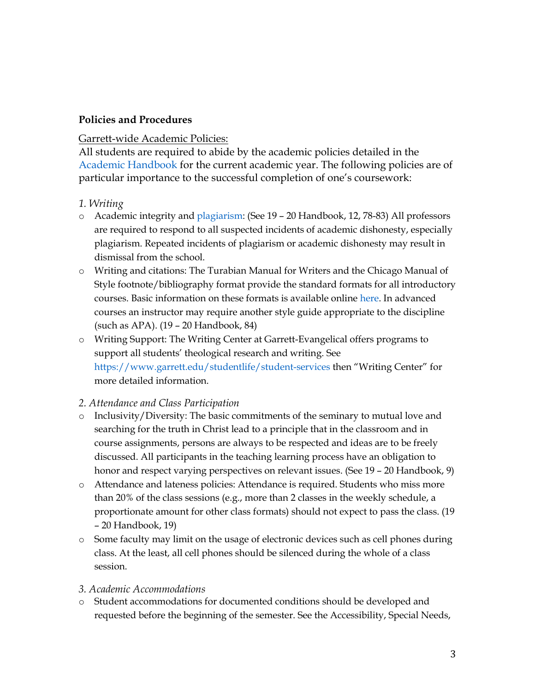## **Policies and Procedures**

## Garrett-wide Academic Policies:

All students are required to abide by the academic policies detailed in the Academic Handbook for the current academic year. The following policies are of particular importance to the successful completion of one's coursework:

## *1. Writing*

- o Academic integrity and plagiarism: (See 19 20 Handbook, 12, 78-83) All professors are required to respond to all suspected incidents of academic dishonesty, especially plagiarism. Repeated incidents of plagiarism or academic dishonesty may result in dismissal from the school.
- o Writing and citations: The Turabian Manual for Writers and the Chicago Manual of Style footnote/bibliography format provide the standard formats for all introductory courses. Basic information on these formats is available online here. In advanced courses an instructor may require another style guide appropriate to the discipline (such as APA). (19 – 20 Handbook, 84)
- o Writing Support: The Writing Center at Garrett-Evangelical offers programs to support all students' theological research and writing. See https://www.garrett.edu/studentlife/student-services then "Writing Center" for more detailed information.

## *2. Attendance and Class Participation*

- o Inclusivity/Diversity: The basic commitments of the seminary to mutual love and searching for the truth in Christ lead to a principle that in the classroom and in course assignments, persons are always to be respected and ideas are to be freely discussed. All participants in the teaching learning process have an obligation to honor and respect varying perspectives on relevant issues. (See 19 - 20 Handbook, 9)
- o Attendance and lateness policies: Attendance is required. Students who miss more than 20% of the class sessions (e.g., more than 2 classes in the weekly schedule, a proportionate amount for other class formats) should not expect to pass the class. (19 – 20 Handbook, 19)
- o Some faculty may limit on the usage of electronic devices such as cell phones during class. At the least, all cell phones should be silenced during the whole of a class session.

## *3. Academic Accommodations*

o Student accommodations for documented conditions should be developed and requested before the beginning of the semester. See the Accessibility, Special Needs,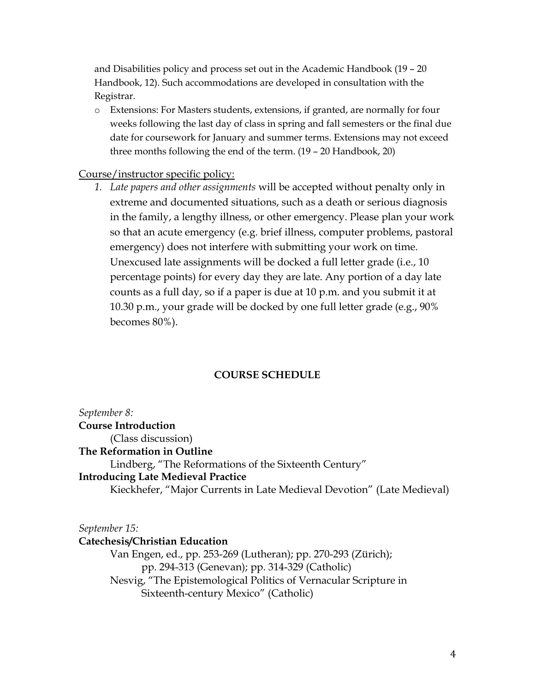and Disabilities policy and process set out in the Academic Handbook (19 – 20 Handbook, 12). Such accommodations are developed in consultation with the Registrar.

o Extensions: For Masters students, extensions, if granted, are normally for four weeks following the last day of class in spring and fall semesters or the final due date for coursework for January and summer terms. Extensions may not exceed three months following the end of the term. (19 – 20 Handbook, 20)

## Course/instructor specific policy:

*1. Late papers and other assignments* will be accepted without penalty only in extreme and documented situations, such as a death or serious diagnosis in the family, a lengthy illness, or other emergency. Please plan your work so that an acute emergency (e.g. brief illness, computer problems, pastoral emergency) does not interfere with submitting your work on time. Unexcused late assignments will be docked a full letter grade (i.e., 10 percentage points) for every day they are late. Any portion of a day late counts as a full day, so if a paper is due at 10 p.m. and you submit it at 10.30 p.m., your grade will be docked by one full letter grade (e.g., 90% becomes 80%).

## **COURSE SCHEDULE**

*September 8:* **Course Introduction** (Class discussion) **The Reformation in Outline**  Lindberg, "The Reformations of the Sixteenth Century" **Introducing Late Medieval Practice** Kieckhefer, "Major Currents in Late Medieval Devotion" (Late Medieval)

*September 15:*

### **Catechesis/Christian Education**

Van Engen, ed., pp. 253-269 (Lutheran); pp. 270-293 (Zürich); pp. 294-313 (Genevan); pp. 314-329 (Catholic) Nesvig, "The Epistemological Politics of Vernacular Scripture in Sixteenth-century Mexico" (Catholic)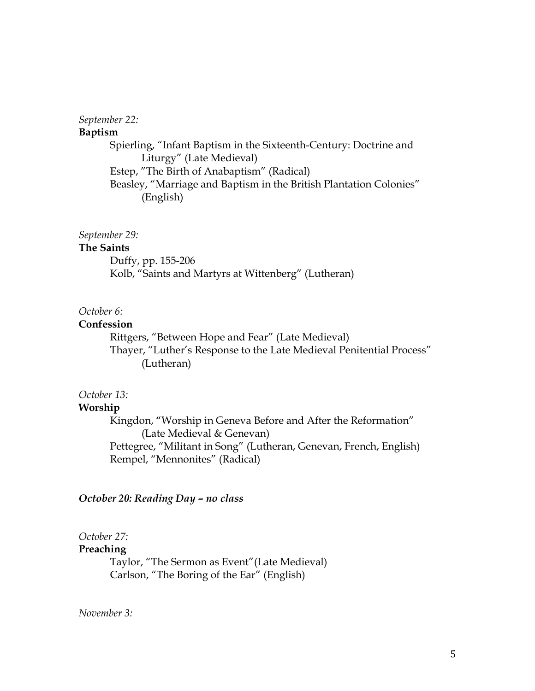#### *September 22:*

#### **Baptism**

Spierling, "Infant Baptism in the Sixteenth-Century: Doctrine and Liturgy" (Late Medieval) Estep, "The Birth of Anabaptism" (Radical) Beasley, "Marriage and Baptism in the British Plantation Colonies" (English)

#### *September 29:*

### **The Saints**

Duffy, pp. 155-206 Kolb, "Saints and Martyrs at Wittenberg" (Lutheran)

## *October 6:*

#### **Confession**

Rittgers, "Between Hope and Fear" (Late Medieval) Thayer, "Luther's Response to the Late Medieval Penitential Process" (Lutheran)

## *October 13:*

#### **Worship**

Kingdon, "Worship in Geneva Before and After the Reformation" (Late Medieval & Genevan) Pettegree, "Militant in Song" (Lutheran, Genevan, French, English) Rempel, "Mennonites" (Radical)

#### *October 20: Reading Day – no class*

#### *October 27:*

### **Preaching**

Taylor, "The Sermon as Event"(Late Medieval) Carlson, "The Boring of the Ear" (English)

### *November 3:*